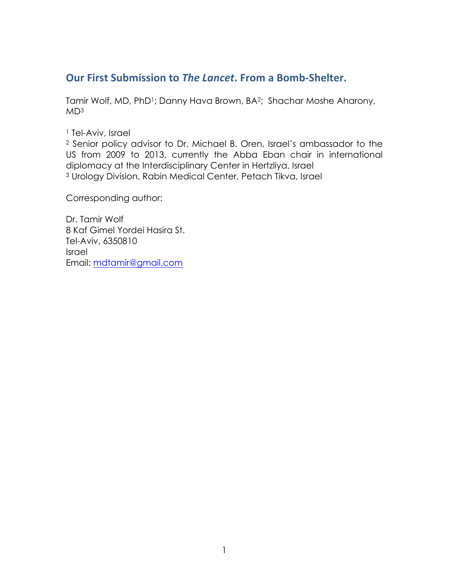## **Our First Submission to The Lancet. From a Bomb-Shelter.**

Tamir Wolf, MD, PhD<sup>1</sup>; Danny Hava Brown, BA<sup>2</sup>; Shachar Moshe Aharony,  $MD<sup>3</sup>$ 

<sup>1</sup> Tel-Aviv, Israel

<sup>2</sup> Senior policy advisor to Dr. Michael B. Oren, Israel's ambassador to the US from 2009 to 2013, currently the Abba Eban chair in international diplomacy at the Interdisciplinary Center in Hertzliya, Israel <sup>3</sup> Urology Division, Rabin Medical Center, Petach Tikva, Israel

Corresponding author:

Dr. Tamir Wolf 8 Kaf Gimel Yordei Hasira St. Tel-Aviv, 6350810 Israel Email: mdtamir@gmail.com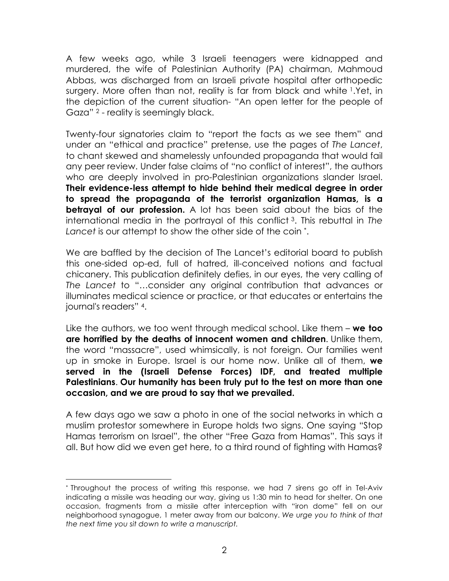A few weeks ago, while 3 Israeli teenagers were kidnapped and murdered, the wife of Palestinian Authority (PA) chairman, Mahmoud Abbas, was discharged from an Israeli private hospital after orthopedic surgery. More often than not, reality is far from black and white 1.Yet, in the depiction of the current situation- "An open letter for the people of Gaza" <sup>2</sup> - reality is seemingly black.

Twenty-four signatories claim to "report the facts as we see them" and under an "ethical and practice" pretense, use the pages of *The Lancet*, to chant skewed and shamelessly unfounded propaganda that would fail any peer review. Under false claims of "no conflict of interest", the authors who are deeply involved in pro-Palestinian organizations slander Israel. **Their evidence-less attempt to hide behind their medical degree in order to spread the propaganda of the terrorist organization Hamas, is a betrayal of our profession.** A lot has been said about the bias of the international media in the portrayal of this conflict 3. This rebuttal in *The Lancet* is our attempt to show the other side of the coin \*.

We are baffled by the decision of The Lancet's editorial board to publish this one-sided op-ed, full of hatred, ill-conceived notions and factual chicanery. This publication definitely defies, in our eyes, the very calling of *The Lancet* to "…consider any original contribution that advances or illuminates medical science or practice, or that educates or entertains the journal's readers" 4.

Like the authors, we too went through medical school. Like them – **we too are horrified by the deaths of innocent women and children**. Unlike them, the word "massacre", used whimsically, is not foreign. Our families went up in smoke in Europe. Israel is our home now. Unlike all of them, **we served in the (Israeli Defense Forces) IDF, and treated multiple Palestinians**. **Our humanity has been truly put to the test on more than one occasion, and we are proud to say that we prevailed.** 

A few days ago we saw a photo in one of the social networks in which a muslim protestor somewhere in Europe holds two signs. One saying "Stop Hamas terrorism on Israel", the other "Free Gaza from Hamas". This says it all. But how did we even get here, to a third round of fighting with Hamas?

<sup>\*</sup> Throughout the process of writing this response, we had 7 sirens go off in Tel-Aviv indicating a missile was heading our way, giving us 1:30 min to head for shelter. On one occasion, fragments from a missile after interception with "iron dome" fell on our neighborhood synagogue, 1 meter away from our balcony. *We urge you to think of that the next time you sit down to write a manuscript.*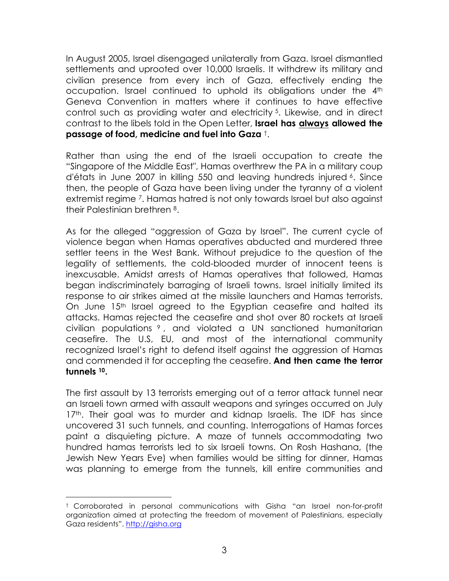In August 2005, Israel disengaged unilaterally from Gaza. Israel dismantled settlements and uprooted over 10,000 Israelis. It withdrew its military and civilian presence from every inch of Gaza, effectively ending the occupation. Israel continued to uphold its obligations under the 4th Geneva Convention in matters where it continues to have effective control such as providing water and electricity 5. Likewise, and in direct contrast to the libels told in the Open Letter, **Israel has always allowed the passage of food, medicine and fuel into Gaza** †.

Rather than using the end of the Israeli occupation to create the "Singapore of the Middle East", Hamas overthrew the PA in a military coup d'états in June 2007 in killing 550 and leaving hundreds injured 6. Since then, the people of Gaza have been living under the tyranny of a violent extremist regime 7. Hamas hatred is not only towards Israel but also against their Palestinian brethren 8.

As for the alleged "aggression of Gaza by Israel". The current cycle of violence began when Hamas operatives abducted and murdered three settler teens in the West Bank. Without prejudice to the question of the legality of settlements, the cold-blooded murder of innocent teens is inexcusable. Amidst arrests of Hamas operatives that followed, Hamas began indiscriminately barraging of Israeli towns. Israel initially limited its response to air strikes aimed at the missile launchers and Hamas terrorists. On June 15<sup>th</sup> Israel agreed to the Egyptian ceasefire and halted its attacks. Hamas rejected the ceasefire and shot over 80 rockets at Israeli civilian populations <sup>9</sup> , and violated a UN sanctioned humanitarian ceasefire. The U.S, EU, and most of the international community recognized Israel's right to defend itself against the aggression of Hamas and commended it for accepting the ceasefire. **And then came the terror tunnels 10.** 

The first assault by 13 terrorists emerging out of a terror attack tunnel near an Israeli town armed with assault weapons and syringes occurred on July 17<sup>th</sup>. Their goal was to murder and kidnap Israelis. The IDF has since uncovered 31 such tunnels, and counting. Interrogations of Hamas forces paint a disquieting picture. A maze of tunnels accommodating two hundred hamas terrorists led to six Israeli towns. On Rosh Hashana, (the Jewish New Years Eve) when families would be sitting for dinner, Hamas was planning to emerge from the tunnels, kill entire communities and

<sup>†</sup> Corroborated in personal communications with Gisha "an Israel non-for-profit organization aimed at protecting the freedom of movement of Palestinians, especially Gaza residents". http://gisha.org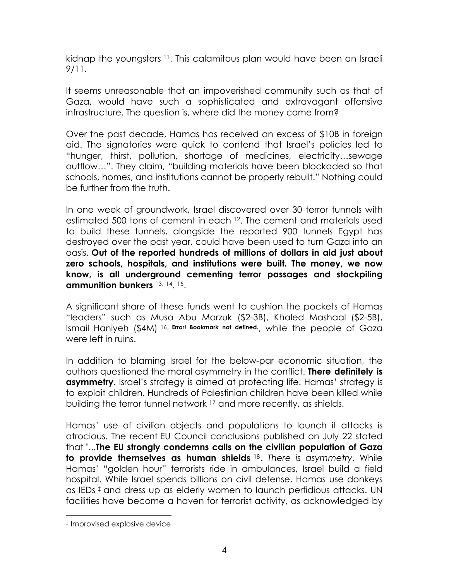kidnap the youngsters 11. This calamitous plan would have been an Israeli 9/11.

It seems unreasonable that an impoverished community such as that of Gaza, would have such a sophisticated and extravagant offensive infrastructure. The question is, where did the money come from?

Over the past decade, Hamas has received an excess of \$10B in foreign aid. The signatories were quick to contend that Israel's policies led to "hunger, thirst, pollution, shortage of medicines, electricity…sewage outflow…". They claim, "building materials have been blockaded so that schools, homes, and institutions cannot be properly rebuilt." Nothing could be further from the truth.

In one week of groundwork, Israel discovered over 30 terror tunnels with estimated 500 tons of cement in each <sup>12</sup>. The cement and materials used to build these tunnels, alongside the reported 900 tunnels Egypt has destroyed over the past year, could have been used to turn Gaza into an oasis. **Out of the reported hundreds of millions of dollars in aid just about zero schools, hospitals, and institutions were built. The money, we now know, is all underground cementing terror passages and stockpiling ammunition bunkers** 13, 14. 15.

A significant share of these funds went to cushion the pockets of Hamas "leaders" such as Musa Abu Marzuk (\$2-3B), Khaled Mashaal (\$2-5B), Ismail Haniyeh (\$4M) 16, **Error! Bookmark not defined.**, while the people of Gaza were left in ruins.

In addition to blaming Israel for the below-par economic situation, the authors questioned the moral asymmetry in the conflict. **There definitely is asymmetry**. Israel's strategy is aimed at protecting life. Hamas' strategy is to exploit children. Hundreds of Palestinian children have been killed while building the terror tunnel network 17 and more recently, as shields.

Hamas' use of civilian objects and populations to launch it attacks is atrocious. The recent EU Council conclusions published on July 22 stated that "...**The EU strongly condemns calls on the civilian population of Gaza to provide themselves as human shields** 18. *There is asymmetry*. While Hamas' "golden hour" terrorists ride in ambulances, Israel build a field hospital. While Israel spends billions on civil defense, Hamas use donkeys as IEDs  $\ddagger$  and dress up as elderly women to launch perfidious attacks. UN facilities have become a haven for terrorist activity, as acknowledged by

 ‡ Improvised explosive device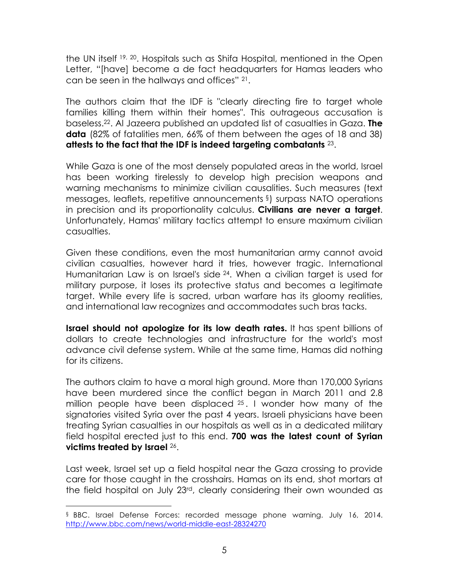the UN itself 19, 20. Hospitals such as Shifa Hospital, mentioned in the Open Letter, "[have] become a de fact headquarters for Hamas leaders who can be seen in the hallways and offices" 21.

The authors claim that the IDF is "clearly directing fire to target whole families killing them within their homes". This outrageous accusation is baseless.22. Al Jazeera published an updated list of casualties in Gaza. **The data** (82% of fatalities men, 66% of them between the ages of 18 and 38) **attests to the fact that the IDF is indeed targeting combatants** 23.

While Gaza is one of the most densely populated areas in the world, Israel has been working tirelessly to develop high precision weapons and warning mechanisms to minimize civilian causalities. Such measures (text messages, leaflets, repetitive announcements §) surpass NATO operations in precision and its proportionality calculus. **Civilians are never a target**. Unfortunately, Hamas' military tactics attempt to ensure maximum civilian casualties.

Given these conditions, even the most humanitarian army cannot avoid civilian casualties, however hard it tries, however tragic. International Humanitarian Law is on Israel's side <sup>24</sup>. When a civilian target is used for military purpose, it loses its protective status and becomes a legitimate target. While every life is sacred, urban warfare has its gloomy realities, and international law recognizes and accommodates such bras tacks.

**Israel should not apologize for its low death rates.** It has spent billions of dollars to create technologies and infrastructure for the world's most advance civil defense system. While at the same time, Hamas did nothing for its citizens.

The authors claim to have a moral high ground. More than 170,000 Syrians have been murdered since the conflict began in March 2011 and 2.8 million people have been displaced <sup>25</sup> . I wonder how many of the signatories visited Syria over the past 4 years. Israeli physicians have been treating Syrian casualties in our hospitals as well as in a dedicated military field hospital erected just to this end. **700 was the latest count of Syrian victims treated by Israel** 26.

Last week, Israel set up a field hospital near the Gaza crossing to provide care for those caught in the crosshairs. Hamas on its end, shot mortars at the field hospital on July 23rd, clearly considering their own wounded as

<sup>§</sup> BBC. Israel Defense Forces: recorded message phone warning. July 16, 2014. http://www.bbc.com/news/world-middle-east-28324270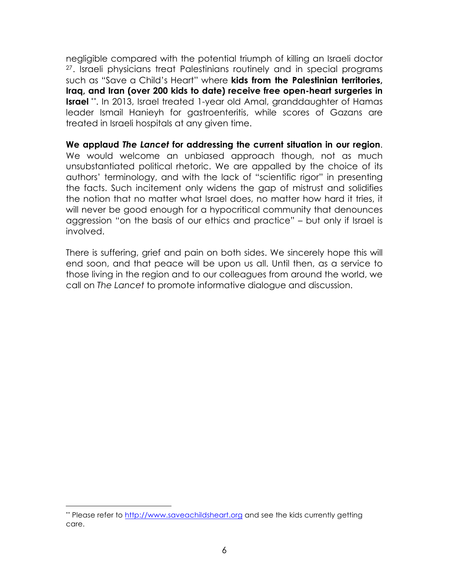negligible compared with the potential triumph of killing an Israeli doctor 27. Israeli physicians treat Palestinians routinely and in special programs such as "Save a Child's Heart" where **kids from the Palestinian territories, Iraq, and Iran (over 200 kids to date) receive free open-heart surgeries in Israel** \*\*. In 2013, Israel treated 1-year old Amal, granddaughter of Hamas leader Ismail Hanieyh for gastroenteritis, while scores of Gazans are treated in Israeli hospitals at any given time.

**We applaud** *The Lancet* **for addressing the current situation in our region**. We would welcome an unbiased approach though, not as much unsubstantiated political rhetoric. We are appalled by the choice of its authors' terminology, and with the lack of "scientific rigor" in presenting the facts. Such incitement only widens the gap of mistrust and solidifies the notion that no matter what Israel does, no matter how hard it tries, it will never be good enough for a hypocritical community that denounces aggression "on the basis of our ethics and practice" – but only if Israel is involved.

There is suffering, grief and pain on both sides. We sincerely hope this will end soon, and that peace will be upon us all. Until then, as a service to those living in the region and to our colleagues from around the world, we call on *The Lancet* to promote informative dialogue and discussion.

<sup>\*\*</sup> Please refer to http://www.saveachildsheart.org and see the kids currently getting care.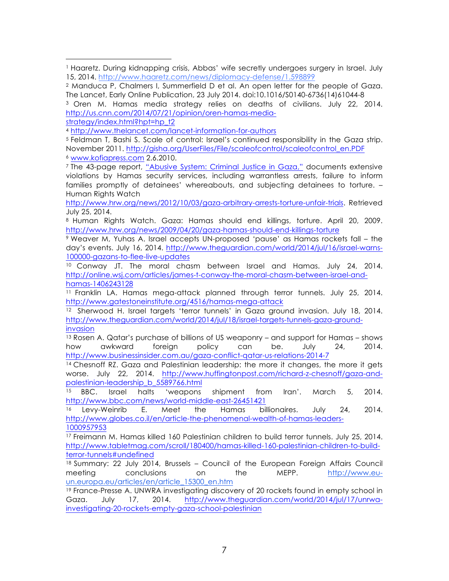<sup>3</sup> Oren M. Hamas media strategy relies on deaths of civilians. July 22, 2014. http://us.cnn.com/2014/07/21/opinion/oren-hamas-media-

strategy/index.html?hpt=hp\_t2

 

<sup>5</sup> Feldman T, Bashi S. Scale of control: Israel's continued responsibility in the Gaza strip. November 2011. http://gisha.org/UserFiles/File/scaleofcontrol/scaleofcontrol\_en.PDF <sup>6</sup> www.kofiapress.com 2.6.2010.

<sup>7</sup> The 43-page report, "Abusive System: Criminal Justice in Gaza," documents extensive violations by Hamas security services, including warrantless arrests, failure to inform families promptly of detainees' whereabouts, and subjecting detainees to torture. – Human Rights Watch

http://www.hrw.org/news/2012/10/03/gaza-arbitrary-arrests-torture-unfair-trials. Retrieved July 25, 2014.

<sup>8</sup> Human Rights Watch. Gaza: Hamas should end killings, torture. April 20, 2009. http://www.hrw.org/news/2009/04/20/gaza-hamas-should-end-killings-torture

<sup>9</sup> Weaver M, Yuhas A. Israel accepts UN-proposed 'pause' as Hamas rockets fall – the day's events. July 16, 2014. http://www.theguardian.com/world/2014/jul/16/israel-warns-100000-gazans-to-flee-live-updates

<sup>10</sup> Conway JT. The moral chasm between Israel and Hamas. July 24, 2014. http://online.wsj.com/articles/james-t-conway-the-moral-chasm-between-israel-andhamas-1406243128

<sup>11</sup> Franklin LA. Hamas mega-attack planned through terror tunnels. July 25, 2014. http://www.gatestoneinstitute.org/4516/hamas-mega-attack

12 Sherwood H. Israel targets 'terror tunnels' in Gaza ground invasion. July 18, 2014. http://www.theguardian.com/world/2014/jul/18/israel-targets-tunnels-gaza-groundinvasion

<sup>13</sup> Rosen A. Qatar's purchase of billions of US weaponry – and support for Hamas – shows how awkward foreign policy can be. July 24, 2014. http://www.businessinsider.com.au/gaza-conflict-qatar-us-relations-2014-7

<sup>14</sup> Chesnoff RZ. Gaza and Palestinian leadership: the more it changes, the more it gets worse. July 22, 2014. http://www.huffingtonpost.com/richard-z-chesnoff/gaza-andpalestinian-leadership\_b\_5589766.html

<sup>15</sup> BBC. Israel halts 'weapons shipment from Iran'. March 5, 2014. http://www.bbc.com/news/world-middle-east-26451421

<sup>16</sup> Levy-Weinrib E. Meet the Hamas billionaires. July 24, 2014. http://www.globes.co.il/en/article-the-phenomenal-wealth-of-hamas-leaders-1000957953

<sup>17</sup> Freimann M. Hamas killed 160 Palestinian children to build terror tunnels. July 25, 2014. http://www.tabletmag.com/scroll/180400/hamas-killed-160-palestinian-children-to-buildterror-tunnels#undefined

18 Summary: 22 July 2014, Brussels – Council of the European Foreign Affairs Council meeting conclusions on the MEPP. http://www.euun.europa.eu/articles/en/article\_15300\_en.htm

<sup>19</sup> France-Presse A. UNWRA investigating discovery of 20 rockets found in empty school in Gaza. July 17, 2014. http://www.theguardian.com/world/2014/jul/17/unrwainvestigating-20-rockets-empty-gaza-school-palestinian

<sup>1</sup> Haaretz. During kidnapping crisis, Abbas' wife secretly undergoes surgery in Israel. July 15, 2014. http://www.haaretz.com/news/diplomacy-defense/1.598899

<sup>2</sup> Manduca P, Chalmers I, Summerfield D et al. An open letter for the people of Gaza. The Lancet, Early Online Publication, 23 July 2014. doi:10.1016/S0140-6736(14)61044-8

<sup>4</sup> http://www.thelancet.com/lancet-information-for-authors